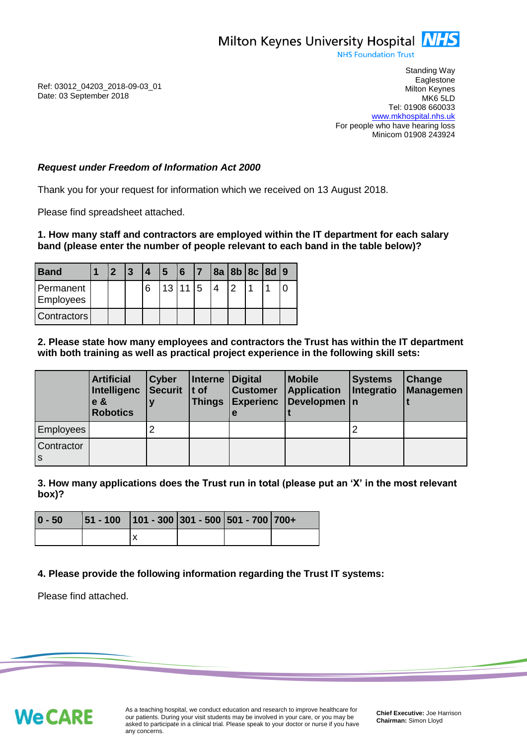

**NHS Foundation Trust** 

Ref: 03012\_04203\_2018-09-03\_01 Date: 03 September 2018

Standing Way **Eaglestone** Milton Keynes MK6 5LD Tel: 01908 660033 [www.mkhospital.nhs.uk](http://www.mkhospital.nhs.uk/) For people who have hearing loss Minicom 01908 243924

## *Request under Freedom of Information Act 2000*

Thank you for your request for information which we received on 13 August 2018.

Please find spreadsheet attached.

#### **1. How many staff and contractors are employed within the IT department for each salary band (please enter the number of people relevant to each band in the table below)?**

| Band                          |  | 3 <sup>7</sup> |   | <u> 5</u> | $ 6 $   $7$ |    |   | 8a 8b 8c 8d 9 |  |
|-------------------------------|--|----------------|---|-----------|-------------|----|---|---------------|--|
| Permanent<br><b>Employees</b> |  |                | 6 |           | 13 11 15    | IΔ | 2 |               |  |
| <b>Contractors</b>            |  |                |   |           |             |    |   |               |  |

## **2. Please state how many employees and contractors the Trust has within the IT department with both training as well as practical project experience in the following skill sets:**

|                   | <b>Artificial</b><br>Intelligenc<br>$e$ &<br><b>Robotics</b> | <b>Cyber</b><br>Securit   t of | Interne Digital<br><b>Things</b> | <b>Customer</b><br><b>Experienc</b><br>е | <b>Mobile</b><br><b>Application</b><br>Developmen   n | <b>Systems</b><br>Integratio | Change<br>Managemen |
|-------------------|--------------------------------------------------------------|--------------------------------|----------------------------------|------------------------------------------|-------------------------------------------------------|------------------------------|---------------------|
| <b>Employees</b>  |                                                              |                                |                                  |                                          |                                                       |                              |                     |
| Contractor<br>l s |                                                              |                                |                                  |                                          |                                                       |                              |                     |

**3. How many applications does the Trust run in total (please put an 'X' in the most relevant box)?**

| $ 0 - 50 $ | $ 51 - 100 $ 101 - 300 301 - 500 501 - 700 700+ |  |  |
|------------|-------------------------------------------------|--|--|
|            |                                                 |  |  |

**4. Please provide the following information regarding the Trust IT systems:**

Please find attached.

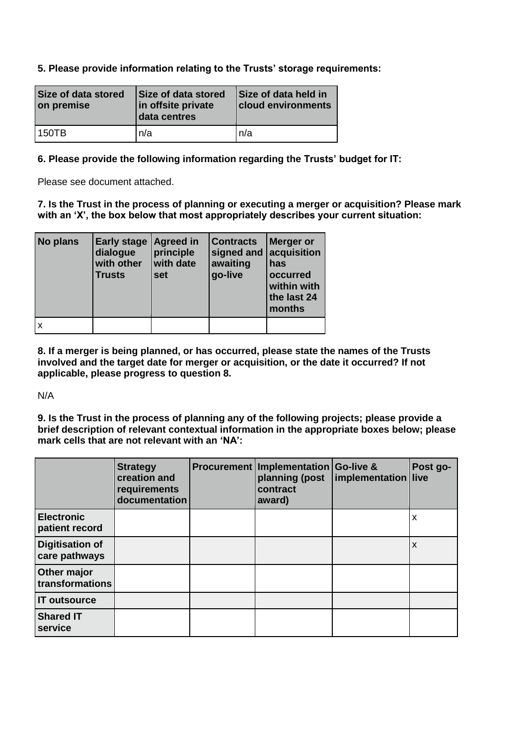# **5. Please provide information relating to the Trusts' storage requirements:**

| Size of data stored<br>on premise | Size of data stored<br>in offsite private<br>data centres | Size of data held in<br><b>cloud environments</b> |
|-----------------------------------|-----------------------------------------------------------|---------------------------------------------------|
| l 150TB                           | n/a                                                       | n/a                                               |

### **6. Please provide the following information regarding the Trusts' budget for IT:**

Please see document attached.

**7. Is the Trust in the process of planning or executing a merger or acquisition? Please mark with an 'X', the box below that most appropriately describes your current situation:**

| No plans | <b>Early stage</b><br>dialogue<br>with other<br><b>Trusts</b> | <b>Agreed in</b><br>principle<br>with date<br>set | <b>Contracts</b><br>signed and $ $<br>awaiting<br>go-live | Merger or<br>acquisition<br>has<br>occurred<br>within with<br>the last 24<br>months |
|----------|---------------------------------------------------------------|---------------------------------------------------|-----------------------------------------------------------|-------------------------------------------------------------------------------------|
| X        |                                                               |                                                   |                                                           |                                                                                     |

**8. If a merger is being planned, or has occurred, please state the names of the Trusts involved and the target date for merger or acquisition, or the date it occurred? If not applicable, please progress to question 8.**

N/A

**9. Is the Trust in the process of planning any of the following projects; please provide a brief description of relevant contextual information in the appropriate boxes below; please mark cells that are not relevant with an 'NA':**

|                                         | <b>Strategy</b><br>creation and<br>requirements<br>documentation | Procurement   Implementation   Go-live &<br>planning (post<br>contract<br>award) | implementation live | Post go- |
|-----------------------------------------|------------------------------------------------------------------|----------------------------------------------------------------------------------|---------------------|----------|
| <b>Electronic</b><br>patient record     |                                                                  |                                                                                  |                     | x        |
| <b>Digitisation of</b><br>care pathways |                                                                  |                                                                                  |                     | X        |
| Other major<br>transformations          |                                                                  |                                                                                  |                     |          |
| <b>IT outsource</b>                     |                                                                  |                                                                                  |                     |          |
| <b>Shared IT</b><br>service             |                                                                  |                                                                                  |                     |          |